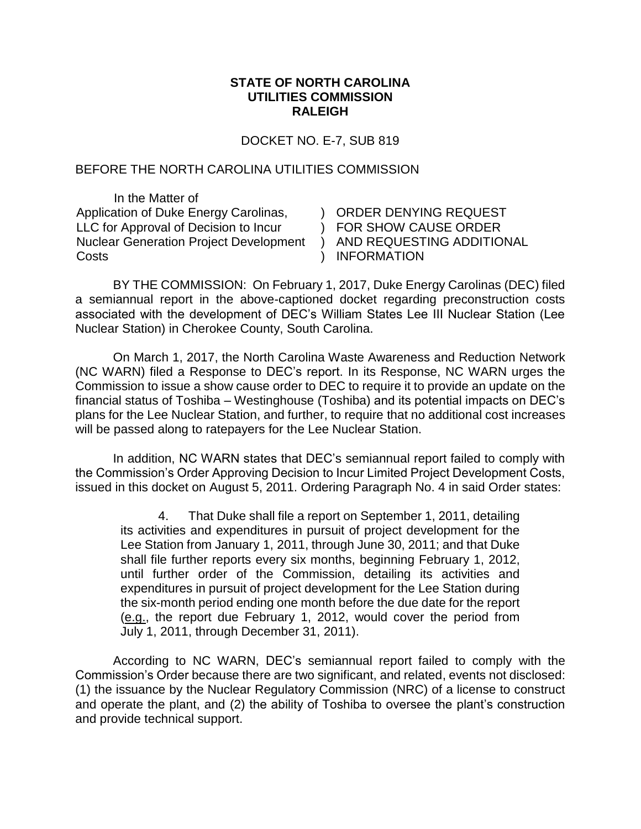## **STATE OF NORTH CAROLINA UTILITIES COMMISSION RALEIGH**

DOCKET NO. E-7, SUB 819

## BEFORE THE NORTH CAROLINA UTILITIES COMMISSION

In the Matter of Application of Duke Energy Carolinas, LLC for Approval of Decision to Incur Nuclear Generation Project Development **Costs** 

) ORDER DENYING REQUEST ) FOR SHOW CAUSE ORDER ) AND REQUESTING ADDITIONAL ) INFORMATION

BY THE COMMISSION: On February 1, 2017, Duke Energy Carolinas (DEC) filed a semiannual report in the above-captioned docket regarding preconstruction costs associated with the development of DEC's William States Lee III Nuclear Station (Lee Nuclear Station) in Cherokee County, South Carolina.

On March 1, 2017, the North Carolina Waste Awareness and Reduction Network (NC WARN) filed a Response to DEC's report. In its Response, NC WARN urges the Commission to issue a show cause order to DEC to require it to provide an update on the financial status of Toshiba – Westinghouse (Toshiba) and its potential impacts on DEC's plans for the Lee Nuclear Station, and further, to require that no additional cost increases will be passed along to ratepayers for the Lee Nuclear Station.

In addition, NC WARN states that DEC's semiannual report failed to comply with the Commission's Order Approving Decision to Incur Limited Project Development Costs, issued in this docket on August 5, 2011. Ordering Paragraph No. 4 in said Order states:

4. That Duke shall file a report on September 1, 2011, detailing its activities and expenditures in pursuit of project development for the Lee Station from January 1, 2011, through June 30, 2011; and that Duke shall file further reports every six months, beginning February 1, 2012, until further order of the Commission, detailing its activities and expenditures in pursuit of project development for the Lee Station during the six-month period ending one month before the due date for the report (e.g., the report due February 1, 2012, would cover the period from July 1, 2011, through December 31, 2011).

According to NC WARN, DEC's semiannual report failed to comply with the Commission's Order because there are two significant, and related, events not disclosed: (1) the issuance by the Nuclear Regulatory Commission (NRC) of a license to construct and operate the plant, and (2) the ability of Toshiba to oversee the plant's construction and provide technical support.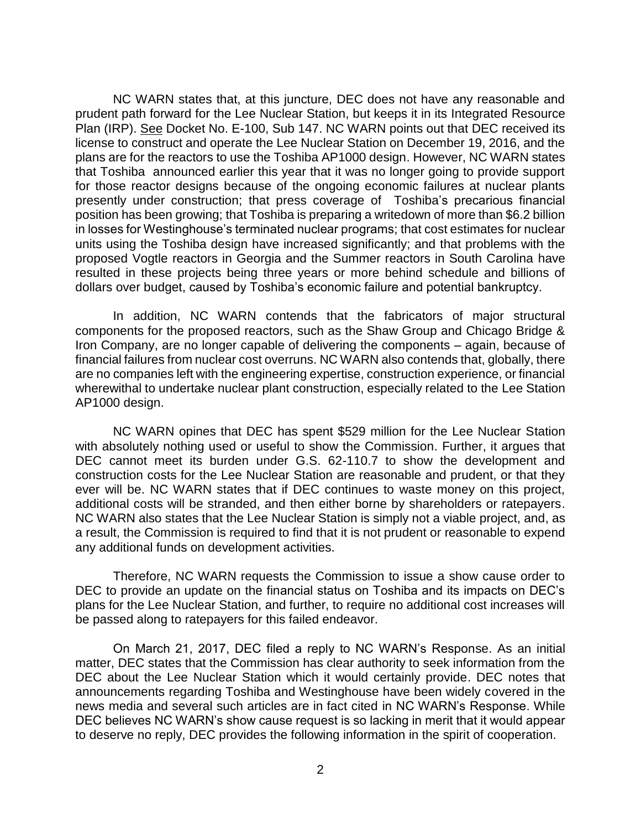NC WARN states that, at this juncture, DEC does not have any reasonable and prudent path forward for the Lee Nuclear Station, but keeps it in its Integrated Resource Plan (IRP). See Docket No. E-100, Sub 147. NC WARN points out that DEC received its license to construct and operate the Lee Nuclear Station on December 19, 2016, and the plans are for the reactors to use the Toshiba AP1000 design. However, NC WARN states that Toshiba announced earlier this year that it was no longer going to provide support for those reactor designs because of the ongoing economic failures at nuclear plants presently under construction; that press coverage of Toshiba's precarious financial position has been growing; that Toshiba is preparing a writedown of more than \$6.2 billion in losses for Westinghouse's terminated nuclear programs; that cost estimates for nuclear units using the Toshiba design have increased significantly; and that problems with the proposed Vogtle reactors in Georgia and the Summer reactors in South Carolina have resulted in these projects being three years or more behind schedule and billions of dollars over budget, caused by Toshiba's economic failure and potential bankruptcy.

In addition, NC WARN contends that the fabricators of major structural components for the proposed reactors, such as the Shaw Group and Chicago Bridge & Iron Company, are no longer capable of delivering the components – again, because of financial failures from nuclear cost overruns. NC WARN also contends that, globally, there are no companies left with the engineering expertise, construction experience, or financial wherewithal to undertake nuclear plant construction, especially related to the Lee Station AP1000 design.

NC WARN opines that DEC has spent \$529 million for the Lee Nuclear Station with absolutely nothing used or useful to show the Commission. Further, it argues that DEC cannot meet its burden under G.S. 62-110.7 to show the development and construction costs for the Lee Nuclear Station are reasonable and prudent, or that they ever will be. NC WARN states that if DEC continues to waste money on this project, additional costs will be stranded, and then either borne by shareholders or ratepayers. NC WARN also states that the Lee Nuclear Station is simply not a viable project, and, as a result, the Commission is required to find that it is not prudent or reasonable to expend any additional funds on development activities.

Therefore, NC WARN requests the Commission to issue a show cause order to DEC to provide an update on the financial status on Toshiba and its impacts on DEC's plans for the Lee Nuclear Station, and further, to require no additional cost increases will be passed along to ratepayers for this failed endeavor.

On March 21, 2017, DEC filed a reply to NC WARN's Response. As an initial matter, DEC states that the Commission has clear authority to seek information from the DEC about the Lee Nuclear Station which it would certainly provide. DEC notes that announcements regarding Toshiba and Westinghouse have been widely covered in the news media and several such articles are in fact cited in NC WARN's Response. While DEC believes NC WARN's show cause request is so lacking in merit that it would appear to deserve no reply, DEC provides the following information in the spirit of cooperation.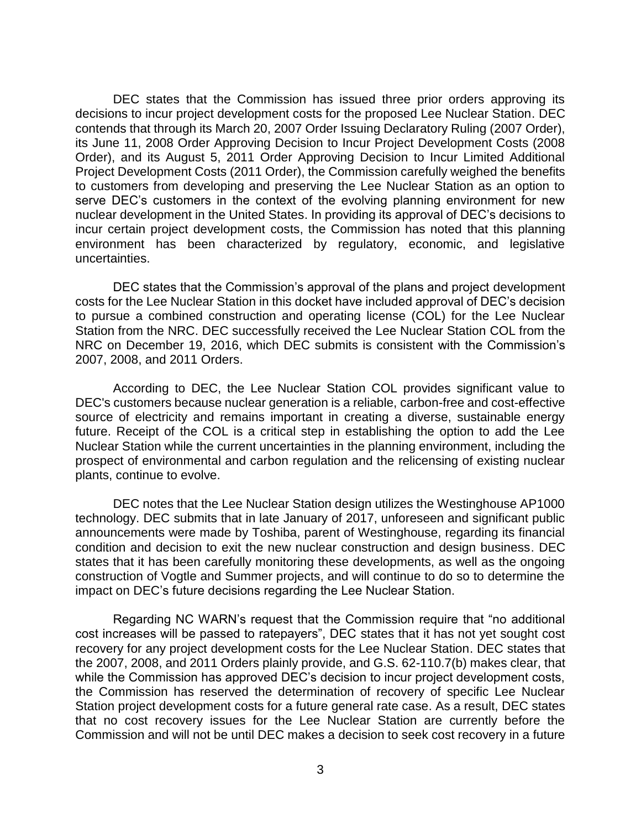DEC states that the Commission has issued three prior orders approving its decisions to incur project development costs for the proposed Lee Nuclear Station. DEC contends that through its March 20, 2007 Order Issuing Declaratory Ruling (2007 Order), its June 11, 2008 Order Approving Decision to Incur Project Development Costs (2008 Order), and its August 5, 2011 Order Approving Decision to Incur Limited Additional Project Development Costs (2011 Order), the Commission carefully weighed the benefits to customers from developing and preserving the Lee Nuclear Station as an option to serve DEC's customers in the context of the evolving planning environment for new nuclear development in the United States. In providing its approval of DEC's decisions to incur certain project development costs, the Commission has noted that this planning environment has been characterized by regulatory, economic, and legislative uncertainties.

DEC states that the Commission's approval of the plans and project development costs for the Lee Nuclear Station in this docket have included approval of DEC's decision to pursue a combined construction and operating license (COL) for the Lee Nuclear Station from the NRC. DEC successfully received the Lee Nuclear Station COL from the NRC on December 19, 2016, which DEC submits is consistent with the Commission's 2007, 2008, and 2011 Orders.

According to DEC, the Lee Nuclear Station COL provides significant value to DEC's customers because nuclear generation is a reliable, carbon-free and cost-effective source of electricity and remains important in creating a diverse, sustainable energy future. Receipt of the COL is a critical step in establishing the option to add the Lee Nuclear Station while the current uncertainties in the planning environment, including the prospect of environmental and carbon regulation and the relicensing of existing nuclear plants, continue to evolve.

DEC notes that the Lee Nuclear Station design utilizes the Westinghouse AP1000 technology. DEC submits that in late January of 2017, unforeseen and significant public announcements were made by Toshiba, parent of Westinghouse, regarding its financial condition and decision to exit the new nuclear construction and design business. DEC states that it has been carefully monitoring these developments, as well as the ongoing construction of Vogtle and Summer projects, and will continue to do so to determine the impact on DEC's future decisions regarding the Lee Nuclear Station.

Regarding NC WARN's request that the Commission require that "no additional cost increases will be passed to ratepayers", DEC states that it has not yet sought cost recovery for any project development costs for the Lee Nuclear Station. DEC states that the 2007, 2008, and 2011 Orders plainly provide, and G.S. 62-110.7(b) makes clear, that while the Commission has approved DEC's decision to incur project development costs, the Commission has reserved the determination of recovery of specific Lee Nuclear Station project development costs for a future general rate case. As a result, DEC states that no cost recovery issues for the Lee Nuclear Station are currently before the Commission and will not be until DEC makes a decision to seek cost recovery in a future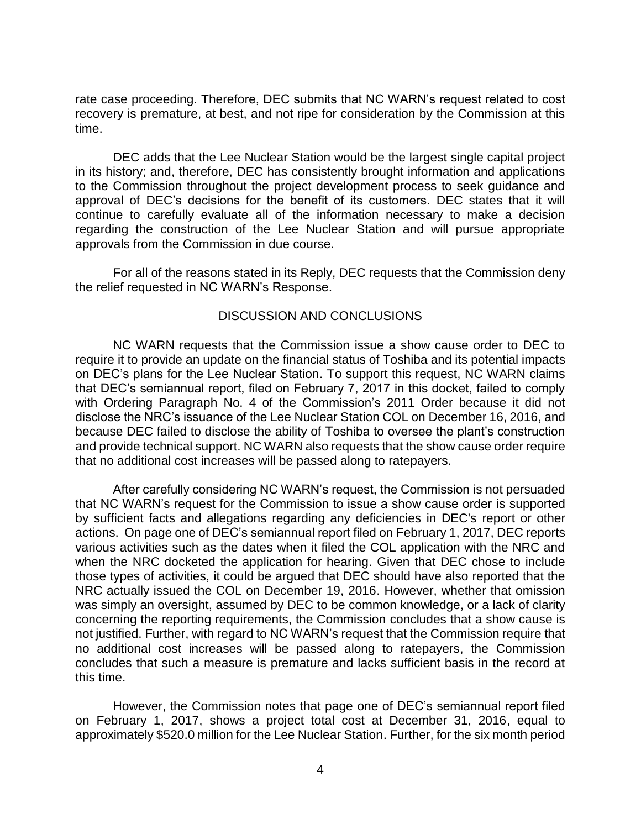rate case proceeding. Therefore, DEC submits that NC WARN's request related to cost recovery is premature, at best, and not ripe for consideration by the Commission at this time.

DEC adds that the Lee Nuclear Station would be the largest single capital project in its history; and, therefore, DEC has consistently brought information and applications to the Commission throughout the project development process to seek guidance and approval of DEC's decisions for the benefit of its customers. DEC states that it will continue to carefully evaluate all of the information necessary to make a decision regarding the construction of the Lee Nuclear Station and will pursue appropriate approvals from the Commission in due course.

For all of the reasons stated in its Reply, DEC requests that the Commission deny the relief requested in NC WARN's Response.

## DISCUSSION AND CONCLUSIONS

NC WARN requests that the Commission issue a show cause order to DEC to require it to provide an update on the financial status of Toshiba and its potential impacts on DEC's plans for the Lee Nuclear Station. To support this request, NC WARN claims that DEC's semiannual report, filed on February 7, 2017 in this docket, failed to comply with Ordering Paragraph No. 4 of the Commission's 2011 Order because it did not disclose the NRC's issuance of the Lee Nuclear Station COL on December 16, 2016, and because DEC failed to disclose the ability of Toshiba to oversee the plant's construction and provide technical support. NC WARN also requests that the show cause order require that no additional cost increases will be passed along to ratepayers.

After carefully considering NC WARN's request, the Commission is not persuaded that NC WARN's request for the Commission to issue a show cause order is supported by sufficient facts and allegations regarding any deficiencies in DEC's report or other actions. On page one of DEC's semiannual report filed on February 1, 2017, DEC reports various activities such as the dates when it filed the COL application with the NRC and when the NRC docketed the application for hearing. Given that DEC chose to include those types of activities, it could be argued that DEC should have also reported that the NRC actually issued the COL on December 19, 2016. However, whether that omission was simply an oversight, assumed by DEC to be common knowledge, or a lack of clarity concerning the reporting requirements, the Commission concludes that a show cause is not justified. Further, with regard to NC WARN's request that the Commission require that no additional cost increases will be passed along to ratepayers, the Commission concludes that such a measure is premature and lacks sufficient basis in the record at this time.

However, the Commission notes that page one of DEC's semiannual report filed on February 1, 2017, shows a project total cost at December 31, 2016, equal to approximately \$520.0 million for the Lee Nuclear Station. Further, for the six month period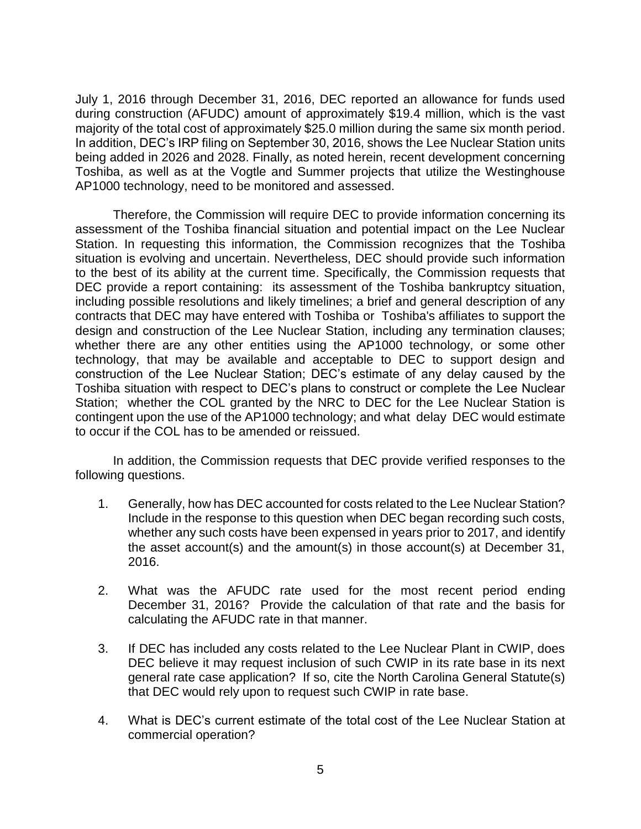July 1, 2016 through December 31, 2016, DEC reported an allowance for funds used during construction (AFUDC) amount of approximately \$19.4 million, which is the vast majority of the total cost of approximately \$25.0 million during the same six month period. In addition, DEC's IRP filing on September 30, 2016, shows the Lee Nuclear Station units being added in 2026 and 2028. Finally, as noted herein, recent development concerning Toshiba, as well as at the Vogtle and Summer projects that utilize the Westinghouse AP1000 technology, need to be monitored and assessed.

Therefore, the Commission will require DEC to provide information concerning its assessment of the Toshiba financial situation and potential impact on the Lee Nuclear Station. In requesting this information, the Commission recognizes that the Toshiba situation is evolving and uncertain. Nevertheless, DEC should provide such information to the best of its ability at the current time. Specifically, the Commission requests that DEC provide a report containing: its assessment of the Toshiba bankruptcy situation, including possible resolutions and likely timelines; a brief and general description of any contracts that DEC may have entered with Toshiba or Toshiba's affiliates to support the design and construction of the Lee Nuclear Station, including any termination clauses; whether there are any other entities using the AP1000 technology, or some other technology, that may be available and acceptable to DEC to support design and construction of the Lee Nuclear Station; DEC's estimate of any delay caused by the Toshiba situation with respect to DEC's plans to construct or complete the Lee Nuclear Station; whether the COL granted by the NRC to DEC for the Lee Nuclear Station is contingent upon the use of the AP1000 technology; and what delay DEC would estimate to occur if the COL has to be amended or reissued.

In addition, the Commission requests that DEC provide verified responses to the following questions.

- 1. Generally, how has DEC accounted for costs related to the Lee Nuclear Station? Include in the response to this question when DEC began recording such costs, whether any such costs have been expensed in years prior to 2017, and identify the asset account(s) and the amount(s) in those account(s) at December 31, 2016.
- 2. What was the AFUDC rate used for the most recent period ending December 31, 2016? Provide the calculation of that rate and the basis for calculating the AFUDC rate in that manner.
- 3. If DEC has included any costs related to the Lee Nuclear Plant in CWIP, does DEC believe it may request inclusion of such CWIP in its rate base in its next general rate case application? If so, cite the North Carolina General Statute(s) that DEC would rely upon to request such CWIP in rate base.
- 4. What is DEC's current estimate of the total cost of the Lee Nuclear Station at commercial operation?